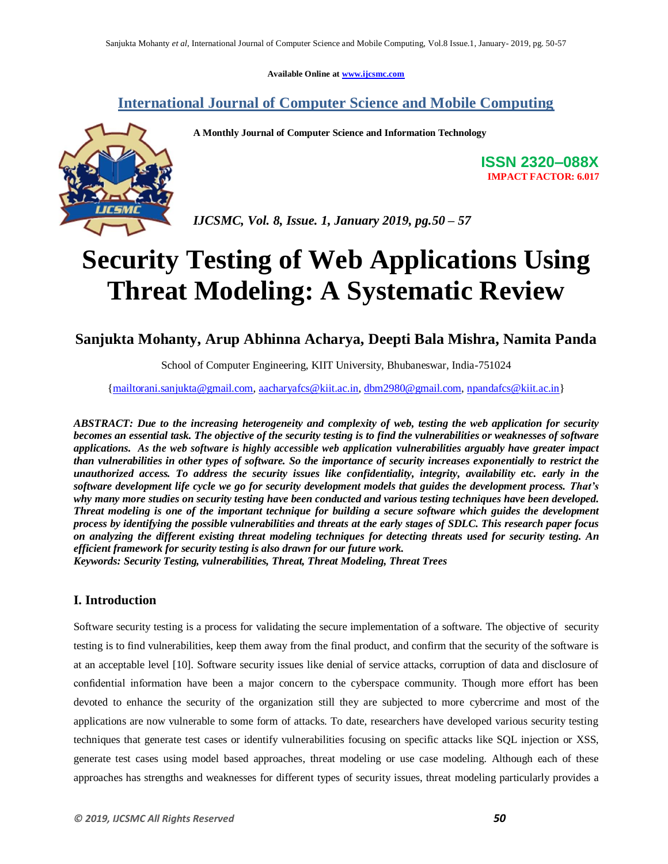**Available Online at www.ijcsmc.com**

**International Journal of Computer Science and Mobile Computing**

 **A Monthly Journal of Computer Science and Information Technology**



**ISSN 2320–088X IMPACT FACTOR: 6.017**

 *IJCSMC, Vol. 8, Issue. 1, January 2019, pg.50 – 57*

# **Security Testing of Web Applications Using Threat Modeling: A Systematic Review**

**Sanjukta Mohanty, Arup Abhinna Acharya, Deepti Bala Mishra, Namita Panda**

School of Computer Engineering, KIIT University, Bhubaneswar, India-751024

{mailtorani.sanjukta@gmail.com, aacharyafcs@kiit.ac.in, dbm2980@gmail.com, npandafcs@kiit.ac.in}

*ABSTRACT: Due to the increasing heterogeneity and complexity of web, testing the web application for security becomes an essential task. The objective of the security testing is to find the vulnerabilities or weaknesses of software applications. As the web software is highly accessible web application vulnerabilities arguably have greater impact than vulnerabilities in other types of software. So the importance of security increases exponentially to restrict the unauthorized access. To address the security issues like confidentiality, integrity, availability etc. early in the software development life cycle we go for security development models that guides the development process. That's why many more studies on security testing have been conducted and various testing techniques have been developed. Threat modeling is one of the important technique for building a secure software which guides the development process by identifying the possible vulnerabilities and threats at the early stages of SDLC. This research paper focus on analyzing the different existing threat modeling techniques for detecting threats used for security testing. An efficient framework for security testing is also drawn for our future work. Keywords: Security Testing, vulnerabilities, Threat, Threat Modeling, Threat Trees*

## **I. Introduction**

Software security testing is a process for validating the secure implementation of a software. The objective of security testing is to find vulnerabilities, keep them away from the final product, and confirm that the security of the software is at an acceptable level [10]. Software security issues like denial of service attacks, corruption of data and disclosure of confidential information have been a major concern to the cyberspace community. Though more effort has been devoted to enhance the security of the organization still they are subjected to more cybercrime and most of the applications are now vulnerable to some form of attacks. To date, researchers have developed various security testing techniques that generate test cases or identify vulnerabilities focusing on specific attacks like SQL injection or XSS, generate test cases using model based approaches, threat modeling or use case modeling. Although each of these approaches has strengths and weaknesses for different types of security issues, threat modeling particularly provides a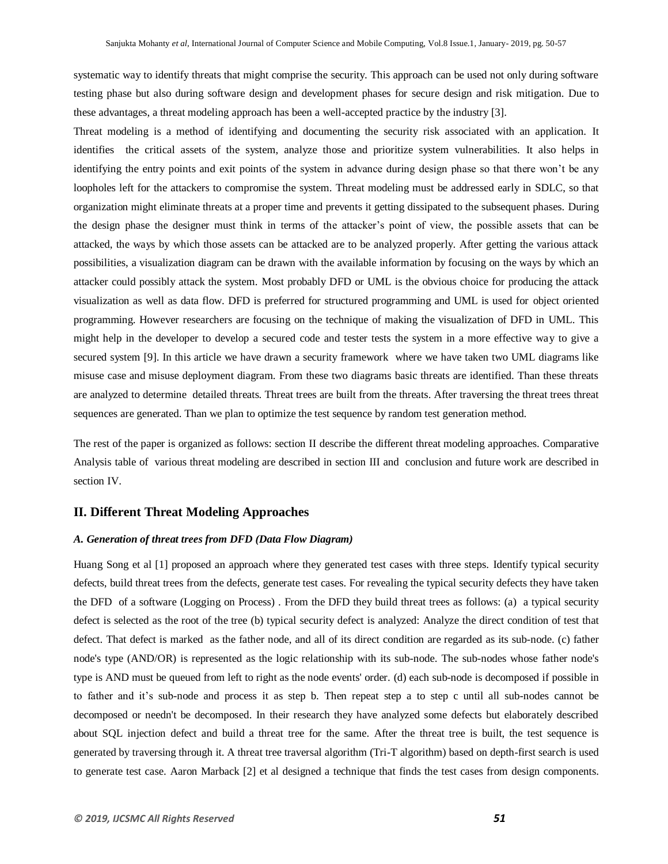systematic way to identify threats that might comprise the security. This approach can be used not only during software testing phase but also during software design and development phases for secure design and risk mitigation. Due to these advantages, a threat modeling approach has been a well-accepted practice by the industry [3].

Threat modeling is a method of identifying and documenting the security risk associated with an application. It identifies the critical assets of the system, analyze those and prioritize system vulnerabilities. It also helps in identifying the entry points and exit points of the system in advance during design phase so that there won't be any loopholes left for the attackers to compromise the system. Threat modeling must be addressed early in SDLC, so that organization might eliminate threats at a proper time and prevents it getting dissipated to the subsequent phases. During the design phase the designer must think in terms of the attacker's point of view, the possible assets that can be attacked, the ways by which those assets can be attacked are to be analyzed properly. After getting the various attack possibilities, a visualization diagram can be drawn with the available information by focusing on the ways by which an attacker could possibly attack the system. Most probably DFD or UML is the obvious choice for producing the attack visualization as well as data flow. DFD is preferred for structured programming and UML is used for object oriented programming. However researchers are focusing on the technique of making the visualization of DFD in UML. This might help in the developer to develop a secured code and tester tests the system in a more effective way to give a secured system [9]. In this article we have drawn a security framework where we have taken two UML diagrams like misuse case and misuse deployment diagram. From these two diagrams basic threats are identified. Than these threats are analyzed to determine detailed threats. Threat trees are built from the threats. After traversing the threat trees threat sequences are generated. Than we plan to optimize the test sequence by random test generation method.

The rest of the paper is organized as follows: section II describe the different threat modeling approaches. Comparative Analysis table of various threat modeling are described in section III and conclusion and future work are described in section IV.

#### **II. Different Threat Modeling Approaches**

#### *A. Generation of threat trees from DFD (Data Flow Diagram)*

Huang Song et al [1] proposed an approach where they generated test cases with three steps. Identify typical security defects, build threat trees from the defects, generate test cases. For revealing the typical security defects they have taken the DFD of a software (Logging on Process) . From the DFD they build threat trees as follows: (a) a typical security defect is selected as the root of the tree (b) typical security defect is analyzed: Analyze the direct condition of test that defect. That defect is marked as the father node, and all of its direct condition are regarded as its sub-node. (c) father node's type (AND/OR) is represented as the logic relationship with its sub-node. The sub-nodes whose father node's type is AND must be queued from left to right as the node events' order. (d) each sub-node is decomposed if possible in to father and it's sub-node and process it as step b. Then repeat step a to step c until all sub-nodes cannot be decomposed or needn't be decomposed. In their research they have analyzed some defects but elaborately described about SQL injection defect and build a threat tree for the same. After the threat tree is built, the test sequence is generated by traversing through it. A threat tree traversal algorithm (Tri-T algorithm) based on depth-first search is used to generate test case. Aaron Marback [2] et al designed a technique that finds the test cases from design components.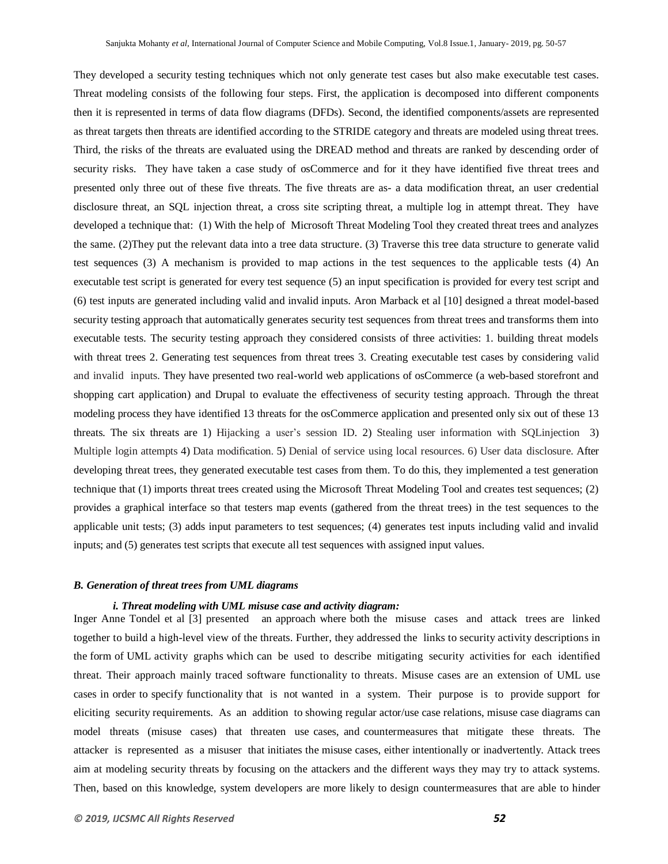They developed a security testing techniques which not only generate test cases but also make executable test cases. Threat modeling consists of the following four steps. First, the application is decomposed into different components then it is represented in terms of data flow diagrams (DFDs). Second, the identified components/assets are represented as threat targets then threats are identified according to the STRIDE category and threats are modeled using threat trees. Third, the risks of the threats are evaluated using the DREAD method and threats are ranked by descending order of security risks. They have taken a case study of osCommerce and for it they have identified five threat trees and presented only three out of these five threats. The five threats are as- a data modification threat, an user credential disclosure threat, an SQL injection threat, a cross site scripting threat, a multiple log in attempt threat. They have developed a technique that: (1) With the help of Microsoft Threat Modeling Tool they created threat trees and analyzes the same. (2)They put the relevant data into a tree data structure. (3) Traverse this tree data structure to generate valid test sequences (3) A mechanism is provided to map actions in the test sequences to the applicable tests (4) An executable test script is generated for every test sequence (5) an input specification is provided for every test script and (6) test inputs are generated including valid and invalid inputs. Aron Marback et al [10] designed a threat model-based security testing approach that automatically generates security test sequences from threat trees and transforms them into executable tests. The security testing approach they considered consists of three activities: 1. building threat models with threat trees 2. Generating test sequences from threat trees 3. Creating executable test cases by considering valid and invalid inputs. They have presented two real-world web applications of osCommerce (a web-based storefront and shopping cart application) and Drupal to evaluate the effectiveness of security testing approach. Through the threat modeling process they have identified 13 threats for the osCommerce application and presented only six out of these 13 threats. The six threats are 1) Hijacking a user's session ID. 2) Stealing user information with SQLinjection 3) Multiple login attempts 4) Data modification. 5) Denial of service using local resources. 6) User data disclosure. After developing threat trees, they generated executable test cases from them. To do this, they implemented a test generation technique that (1) imports threat trees created using the Microsoft Threat Modeling Tool and creates test sequences; (2) provides a graphical interface so that testers map events (gathered from the threat trees) in the test sequences to the applicable unit tests; (3) adds input parameters to test sequences; (4) generates test inputs including valid and invalid inputs; and (5) generates test scripts that execute all test sequences with assigned input values.

#### *B. Generation of threat trees from UML diagrams*

#### *i. Threat modeling with UML misuse case and activity diagram:*

Inger Anne Tondel et al [3] presented an approach where both the misuse cases and attack trees are linked together to build a high-level view of the threats. Further, they addressed the links to security activity descriptions in the form of UML activity graphs which can be used to describe mitigating security activities for each identified threat. Their approach mainly traced software functionality to threats. Misuse cases are an extension of UML use cases in order to specify functionality that is not wanted in a system. Their purpose is to provide support for eliciting security requirements. As an addition to showing regular actor/use case relations, misuse case diagrams can model threats (misuse cases) that threaten use cases, and countermeasures that mitigatethese threats. The attacker is represented as a misuserthat initiates the misuse cases, either intentionally or inadvertently. Attack trees aim at modeling security threats by focusing on the attackers and the different ways they may try to attack systems. Then, based on this knowledge, system developers are more likely to design countermeasures that are able to hinder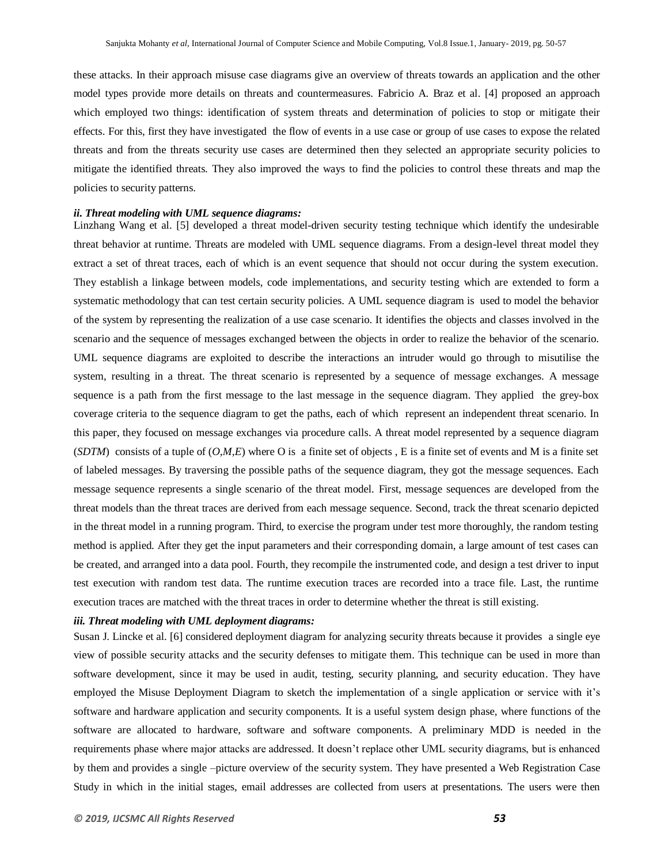these attacks. In their approach misuse case diagrams give an overview of threats towards an application and the other model types provide more details on threats and countermeasures. Fabricio A. Braz et al. [4] proposed an approach which employed two things: identification of system threats and determination of policies to stop or mitigate their effects. For this, first they have investigated the flow of events in a use case or group of use cases to expose the related threats and from the threats security use cases are determined then they selected an appropriate security policies to mitigate the identified threats. They also improved the ways to find the policies to control these threats and map the policies to security patterns.

#### *ii. Threat modeling with UML sequence diagrams:*

Linzhang Wang et al. [5] developed a threat model-driven security testing technique which identify the undesirable threat behavior at runtime. Threats are modeled with UML sequence diagrams. From a design-level threat model they extract a set of threat traces, each of which is an event sequence that should not occur during the system execution. They establish a linkage between models, code implementations, and security testing which are extended to form a systematic methodology that can test certain security policies. A UML sequence diagram is used to model the behavior of the system by representing the realization of a use case scenario. It identifies the objects and classes involved in the scenario and the sequence of messages exchanged between the objects in order to realize the behavior of the scenario. UML sequence diagrams are exploited to describe the interactions an intruder would go through to misutilise the system, resulting in a threat. The threat scenario is represented by a sequence of message exchanges. A message sequence is a path from the first message to the last message in the sequence diagram. They applied the grey-box coverage criteria to the sequence diagram to get the paths, each of which represent an independent threat scenario. In this paper, they focused on message exchanges via procedure calls. A threat model represented by a sequence diagram (*SDTM*) consists of a tuple of (*O,M,E*) where O is a finite set of objects , E is a finite set of events and M is a finite set of labeled messages. By traversing the possible paths of the sequence diagram, they got the message sequences. Each message sequence represents a single scenario of the threat model. First, message sequences are developed from the threat models than the threat traces are derived from each message sequence. Second, track the threat scenario depicted in the threat model in a running program. Third, to exercise the program under test more thoroughly, the random testing method is applied. After they get the input parameters and their corresponding domain, a large amount of test cases can be created, and arranged into a data pool. Fourth, they recompile the instrumented code, and design a test driver to input test execution with random test data. The runtime execution traces are recorded into a trace file. Last, the runtime execution traces are matched with the threat traces in order to determine whether the threat is still existing.

#### *iii. Threat modeling with UML deployment diagrams:*

Susan J. Lincke et al. [6] considered deployment diagram for analyzing security threats because it provides a single eye view of possible security attacks and the security defenses to mitigate them. This technique can be used in more than software development, since it may be used in audit, testing, security planning, and security education. They have employed the Misuse Deployment Diagram to sketch the implementation of a single application or service with it's software and hardware application and security components. It is a useful system design phase, where functions of the software are allocated to hardware, software and software components. A preliminary MDD is needed in the requirements phase where major attacks are addressed. It doesn't replace other UML security diagrams, but is enhanced by them and provides a single –picture overview of the security system. They have presented a Web Registration Case Study in which in the initial stages, email addresses are collected from users at presentations. The users were then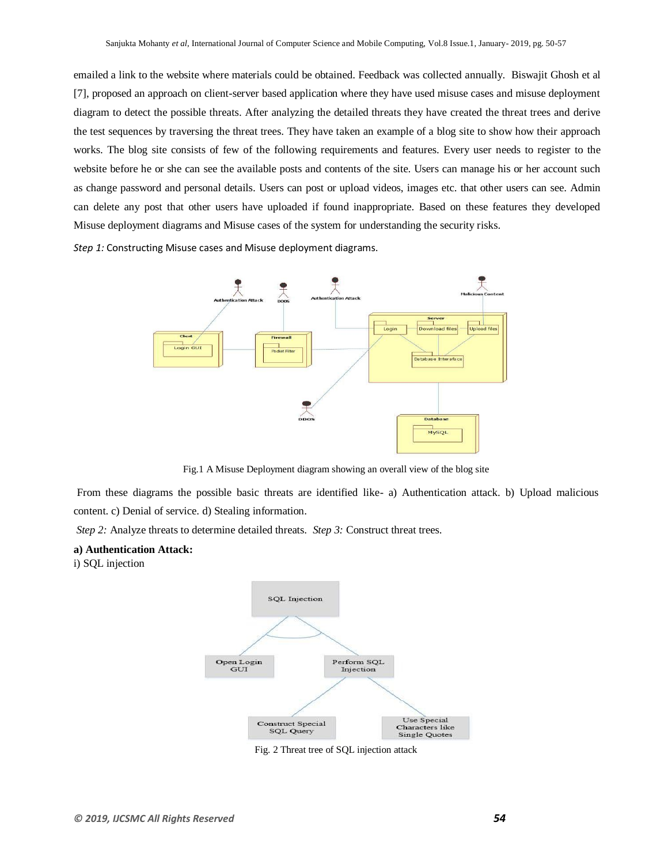emailed a link to the website where materials could be obtained. Feedback was collected annually. Biswajit Ghosh et al [7], proposed an approach on client-server based application where they have used misuse cases and misuse deployment diagram to detect the possible threats. After analyzing the detailed threats they have created the threat trees and derive the test sequences by traversing the threat trees. They have taken an example of a blog site to show how their approach works. The blog site consists of few of the following requirements and features. Every user needs to register to the website before he or she can see the available posts and contents of the site. Users can manage his or her account such as change password and personal details. Users can post or upload videos, images etc. that other users can see. Admin can delete any post that other users have uploaded if found inappropriate. Based on these features they developed Misuse deployment diagrams and Misuse cases of the system for understanding the security risks.

*Step 1:* Constructing Misuse cases and Misuse deployment diagrams.



Fig.1 A Misuse Deployment diagram showing an overall view of the blog site

From these diagrams the possible basic threats are identified like- a) Authentication attack. b) Upload malicious content. c) Denial of service. d) Stealing information.

*Step 2:* Analyze threats to determine detailed threats. *Step 3:* Construct threat trees.

#### **a) Authentication Attack:**

i) SQL injection



Fig. 2 Threat tree of SQL injection attack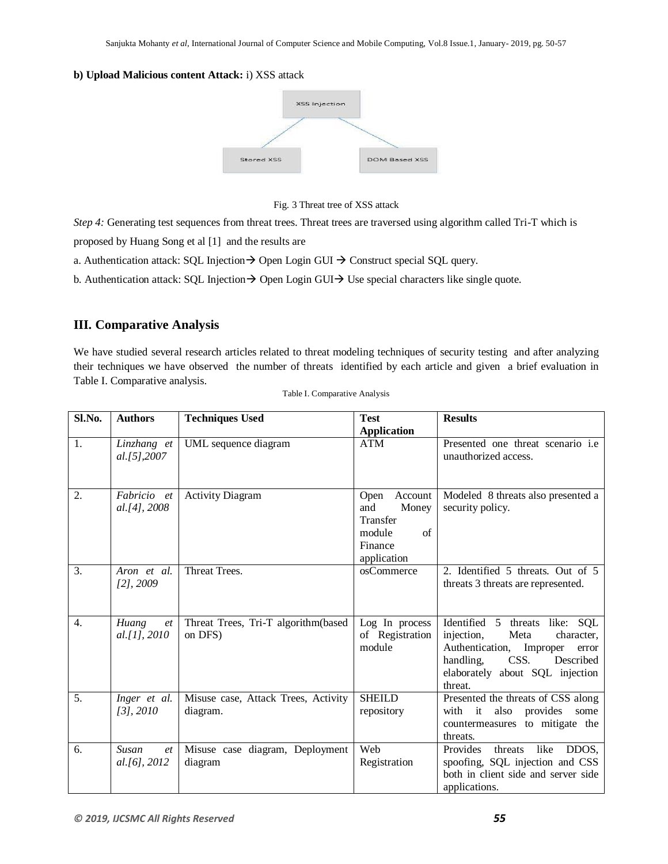#### **b) Upload Malicious content Attack:** i) XSS attack



Fig. 3 Threat tree of XSS attack

*Step 4:* Generating test sequences from threat trees. Threat trees are traversed using algorithm called Tri-T which is

proposed by Huang Song et al [1] and the results are

a. Authentication attack: SQL Injection  $\rightarrow$  Open Login GUI  $\rightarrow$  Construct special SQL query.

b. Authentication attack: SQL Injection  $\rightarrow$  Open Login GUI  $\rightarrow$  Use special characters like single quote.

## **III. Comparative Analysis**

We have studied several research articles related to threat modeling techniques of security testing and after analyzing their techniques we have observed the number of threats identified by each article and given a brief evaluation in Table I. Comparative analysis.

| Sl.No. | <b>Authors</b>               | <b>Techniques Used</b>                          | <b>Test</b>                                                                           | <b>Results</b>                                                                                                                                                                                |
|--------|------------------------------|-------------------------------------------------|---------------------------------------------------------------------------------------|-----------------------------------------------------------------------------------------------------------------------------------------------------------------------------------------------|
|        |                              |                                                 | <b>Application</b>                                                                    |                                                                                                                                                                                               |
| 1.     | Linzhang et<br>al.[5],2007   | UML sequence diagram                            | <b>ATM</b>                                                                            | Presented one threat scenario i.e<br>unauthorized access.                                                                                                                                     |
| 2.     | Fabricio et<br>al.[4], 2008  | <b>Activity Diagram</b>                         | Open<br>Account<br>and<br>Money<br>Transfer<br>module<br>of<br>Finance<br>application | Modeled 8 threats also presented a<br>security policy.                                                                                                                                        |
| 3.     | Aron et al.<br>$[2]$ , 2009  | Threat Trees.                                   | osCommerce                                                                            | 2. Identified 5 threats. Out of 5<br>threats 3 threats are represented.                                                                                                                       |
| 4.     | Huang<br>et<br>al. [1], 2010 | Threat Trees, Tri-T algorithm(based<br>on DFS)  | Log In process<br>of Registration<br>module                                           | Identified 5 threats<br>like: SQL<br>injection,<br>Meta<br>character,<br>Authentication,<br>Improper<br>error<br>Described<br>handling,<br>CSS.<br>elaborately about SQL injection<br>threat. |
| 5.     | Inger et al.<br>[3], 2010    | Misuse case, Attack Trees, Activity<br>diagram. | <b>SHEILD</b><br>repository                                                           | Presented the threats of CSS along<br>with it<br>also<br>provides<br>some<br>countermeasures to mitigate the<br>threats.                                                                      |
| 6.     | Susan<br>et<br>al.[6], 2012  | Misuse case diagram, Deployment<br>diagram      | Web<br>Registration                                                                   | Provides<br>threats<br>like<br>DDOS,<br>spoofing, SQL injection and CSS<br>both in client side and server side<br>applications.                                                               |

Table I. Comparative Analysis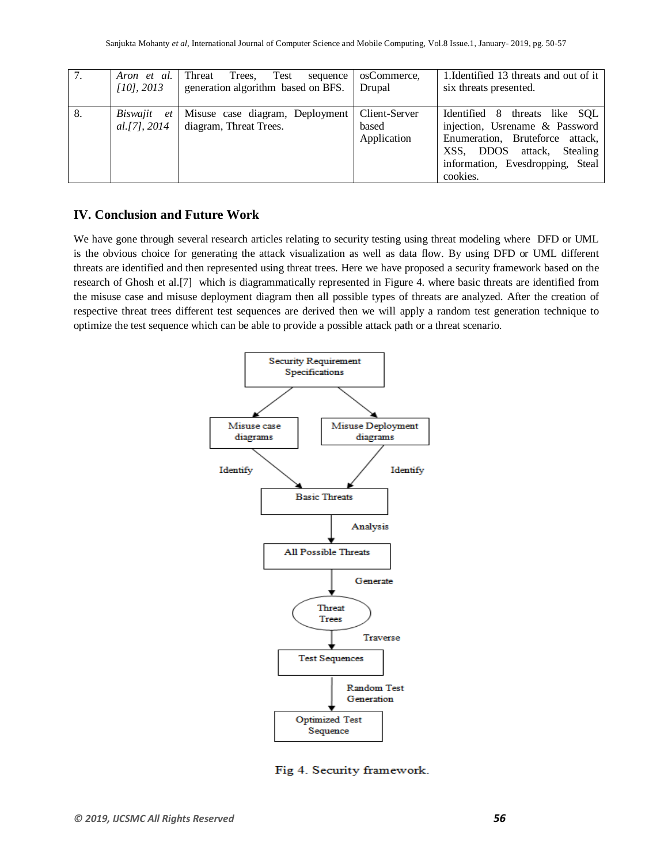| 7. | Aron et al.<br>$[10]$ , 2013 | Trees.<br>Threat<br>Test<br>sequence<br>generation algorithm based on BFS. | osCommerce.<br>Drupal                 | 1. Identified 13 threats and out of it<br>six threats presented.                                                                                                                    |
|----|------------------------------|----------------------------------------------------------------------------|---------------------------------------|-------------------------------------------------------------------------------------------------------------------------------------------------------------------------------------|
| 8. | Biswajit et<br>al.[7], 2014  | Misuse case diagram, Deployment<br>diagram, Threat Trees.                  | Client-Server<br>based<br>Application | Identified 8<br>threats like SOL<br>injection, Usrename & Password<br>Enumeration, Bruteforce attack,<br>XSS, DDOS attack, Stealing<br>information, Evesdropping, Steal<br>cookies. |

### **IV. Conclusion and Future Work**

We have gone through several research articles relating to security testing using threat modeling where DFD or UML is the obvious choice for generating the attack visualization as well as data flow. By using DFD or UML different threats are identified and then represented using threat trees. Here we have proposed a security framework based on the research of Ghosh et al.[7] which is diagrammatically represented in Figure 4. where basic threats are identified from the misuse case and misuse deployment diagram then all possible types of threats are analyzed. After the creation of respective threat trees different test sequences are derived then we will apply a random test generation technique to optimize the test sequence which can be able to provide a possible attack path or a threat scenario.



Fig 4. Security framework.